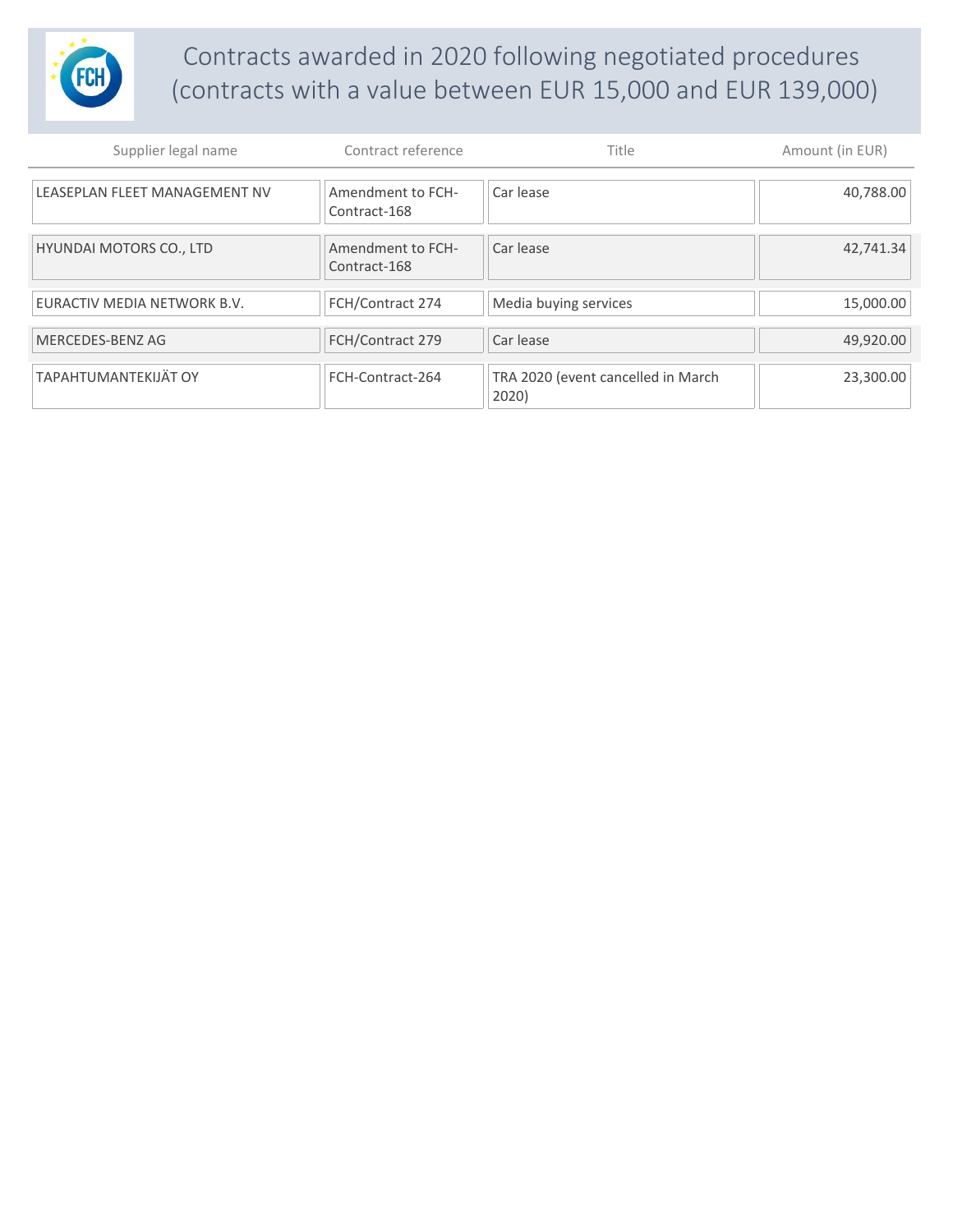

## Contracts awarded in 2020 following negotiated procedures (contracts with a value between EUR 15,000 and EUR 139,000)

| Supplier legal name            | Contract reference                | Title                                       | Amount (in EUR) |
|--------------------------------|-----------------------------------|---------------------------------------------|-----------------|
| LEASEPLAN FLEET MANAGEMENT NV  | Amendment to FCH-<br>Contract-168 | Car lease                                   | 40,788.00       |
| <b>HYUNDAI MOTORS CO., LTD</b> | Amendment to FCH-<br>Contract-168 | Car lease                                   | 42,741.34       |
| EURACTIV MEDIA NETWORK B.V.    | FCH/Contract 274                  | Media buying services                       | 15,000.00       |
| MERCEDES-BENZ AG               | FCH/Contract 279                  | Car lease                                   | 49,920.00       |
| TAPAHTUMANTEKIJÄT OY           | FCH-Contract-264                  | TRA 2020 (event cancelled in March<br>2020) | 23,300.00       |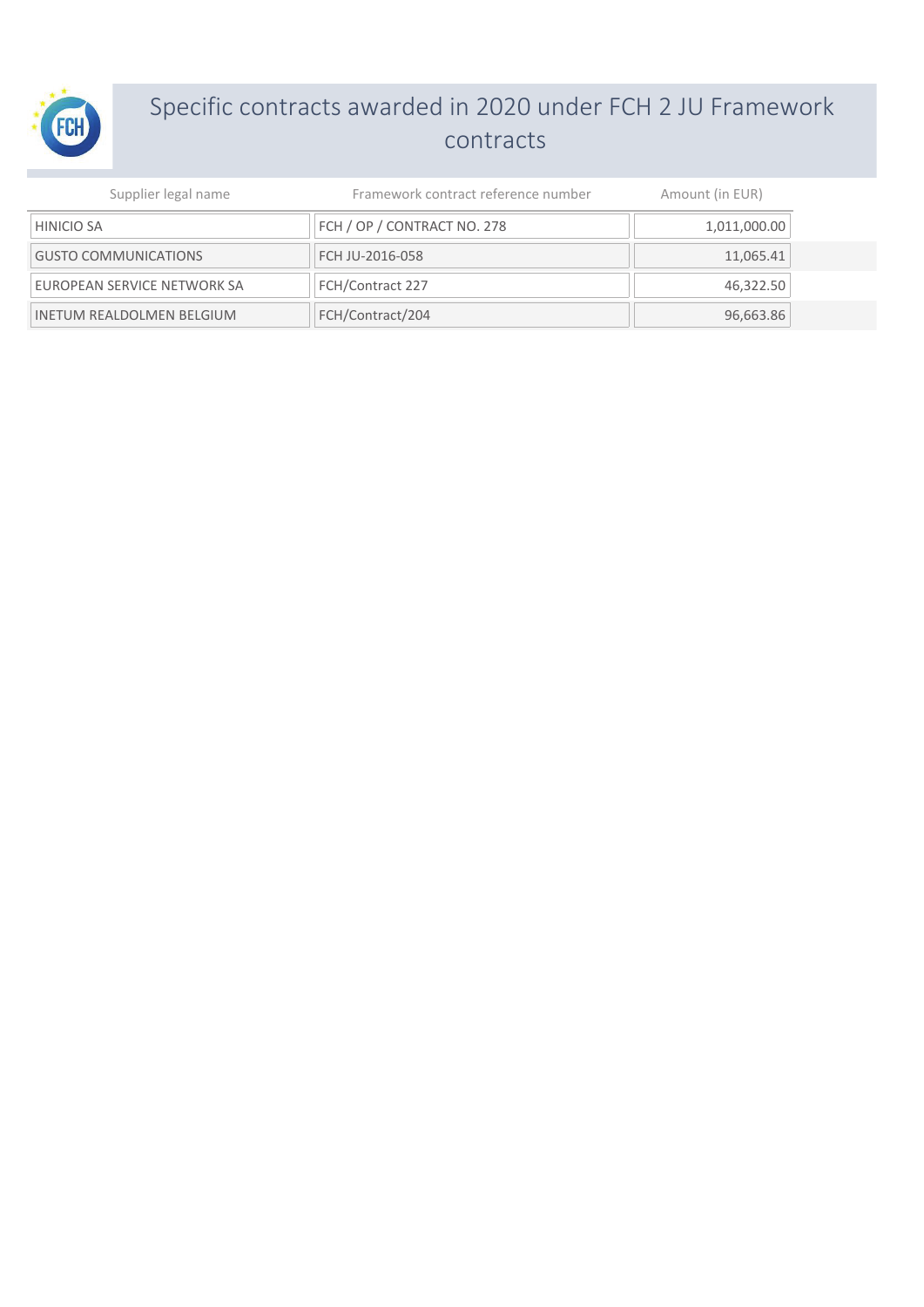

## Specific contracts awarded in 2020 under FCH 2 JU Framework contracts

| Supplier legal name              | Framework contract reference number | Amount (in EUR) |
|----------------------------------|-------------------------------------|-----------------|
| <b>HINICIO SA</b>                | FCH / OP / CONTRACT NO. 278         | 1,011,000.00    |
| <b>GUSTO COMMUNICATIONS</b>      | FCH JU-2016-058                     | 11,065.41       |
| EUROPEAN SERVICE NETWORK SA      | FCH/Contract 227                    | 46,322.50       |
| <b>INETUM REALDOLMEN BELGIUM</b> | FCH/Contract/204                    | 96,663.86       |